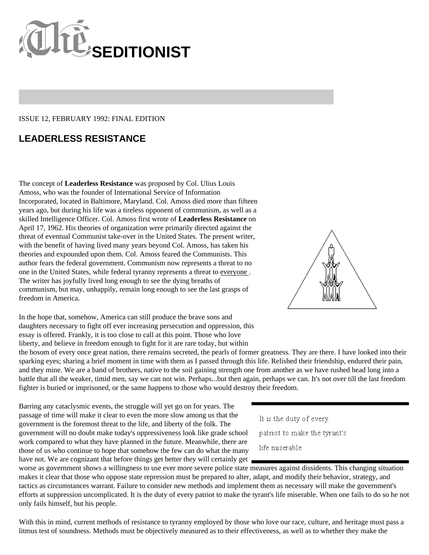

## ISSUE 12, FEBRUARY 1992: FINAL EDITION

## **LEADERLESS RESISTANCE**

The concept of **Leaderless Resistance** was proposed by Col. Ulius Louis Amoss, who was the founder of International Service of Information Incorporated, located in Baltimore, Maryland. Col. Amoss died more than fifteen years ago, but during his life was a tireless opponent of communism, as well as a skilled Intelligence Officer. Col. Amoss first wrote of **Leaderless Resistance** on April 17, 1962. His theories of organization were primarily directed against the threat of eventual Communist take-over in the United States. The present writer, with the benefit of having lived many years beyond Col. Amoss, has taken his theories and expounded upon them. Col. Amoss feared the Communists. This author fears the federal government. Communism now represents a threat to no one in the United States, while federal tyranny represents a threat to everyone . The writer has joyfully lived long enough to see the dying breaths of communism, but may, unhappily, remain long enough to see the last grasps of freedom in America.



In the hope that, somehow, America can still produce the brave sons and daughters necessary to fight off ever increasing persecution and oppression, this essay is offered. Frankly, it is too close to call at this point. Those who love liberty, and believe in freedom enough to fight for it are rare today, but within

the bosom of every once great nation, there remains secreted, the pearls of former greatness. They are there. I have looked into their sparking eyes; sharing a brief moment in time with them as I passed through this life. Relished their friendship, endured their pain, and they mine. We are a band of brothers, native to the soil gaining strength one from another as we have rushed head long into a battle that all the weaker, timid men, say we can not win. Perhaps...but then again, perhaps we can. It's not over till the last freedom fighter is buried or imprisoned, or the same happens to those who would destroy their freedom.

Barring any cataclysmic events, the struggle will yet go on for years. The passage of time will make it clear to even the more slow among us that the government is the foremost threat to the life, and liberty of the folk. The government will no doubt make today's oppressiveness look like grade school work compared to what they have planned in the future. Meanwhile, there are those of us who continue to hope that somehow the few can do what the many have not. We are cognizant that before things get better they will certainly get

It is the duty of every patriot to make the tyrant's life miserable.

worse as government shows a willingness to use ever more severe police state measures against dissidents. This changing situation makes it clear that those who oppose state repression must be prepared to alter, adapt, and modify their behavior, strategy, and tactics as circumstances warrant. Failure to consider new methods and implement them as necessary will make the government's efforts at suppression uncomplicated. It is the duty of every patriot to make the tyrant's life miserable. When one fails to do so he not only fails himself, but his people.

With this in mind, current methods of resistance to tyranny employed by those who love our race, culture, and heritage must pass a litmus test of soundness. Methods must be objectively measured as to their effectiveness, as well as to whether they make the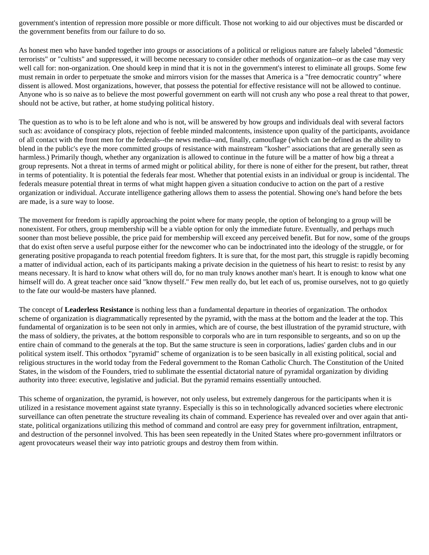government's intention of repression more possible or more difficult. Those not working to aid our objectives must be discarded or the government benefits from our failure to do so.

As honest men who have banded together into groups or associations of a political or religious nature are falsely labeled "domestic terrorists" or "cultists" and suppressed, it will become necessary to consider other methods of organization--or as the case may very well call for: non-organization. One should keep in mind that it is not in the government's interest to eliminate all groups. Some few must remain in order to perpetuate the smoke and mirrors vision for the masses that America is a "free democratic country" where dissent is allowed. Most organizations, however, that possess the potential for effective resistance will not be allowed to continue. Anyone who is so naive as to believe the most powerful government on earth will not crush any who pose a real threat to that power, should not be active, but rather, at home studying political history.

The question as to who is to be left alone and who is not, will be answered by how groups and individuals deal with several factors such as: avoidance of conspiracy plots, rejection of feeble minded malcontents, insistence upon quality of the participants, avoidance of all contact with the front men for the federals--the news media--and, finally, camouflage (which can be defined as the ability to blend in the public's eye the more committed groups of resistance with mainstream "kosher" associations that are generally seen as harmless.) Primarily though, whether any organization is allowed to continue in the future will be a matter of how big a threat a group represents. Not a threat in terms of armed might or political ability, for there is none of either for the present, but rather, threat in terms of potentiality. It is potential the federals fear most. Whether that potential exists in an individual or group is incidental. The federals measure potential threat in terms of what might happen given a situation conducive to action on the part of a restive organization or individual. Accurate intelligence gathering allows them to assess the potential. Showing one's hand before the bets are made, is a sure way to loose.

The movement for freedom is rapidly approaching the point where for many people, the option of belonging to a group will be nonexistent. For others, group membership will be a viable option for only the immediate future. Eventually, and perhaps much sooner than most believe possible, the price paid for membership will exceed any perceived benefit. But for now, some of the groups that do exist often serve a useful purpose either for the newcomer who can be indoctrinated into the ideology of the struggle, or for generating positive propaganda to reach potential freedom fighters. It is sure that, for the most part, this struggle is rapidly becoming a matter of individual action, each of its participants making a private decision in the quietness of his heart to resist: to resist by any means necessary. It is hard to know what others will do, for no man truly knows another man's heart. It is enough to know what one himself will do. A great teacher once said "know thyself." Few men really do, but let each of us, promise ourselves, not to go quietly to the fate our would-be masters have planned.

The concept of **Leaderless Resistance** is nothing less than a fundamental departure in theories of organization. The orthodox scheme of organization is diagrammatically represented by the pyramid, with the mass at the bottom and the leader at the top. This fundamental of organization is to be seen not only in armies, which are of course, the best illustration of the pyramid structure, with the mass of soldiery, the privates, at the bottom responsible to corporals who are in turn responsible to sergeants, and so on up the entire chain of command to the generals at the top. But the same structure is seen in corporations, ladies' garden clubs and in our political system itself. This orthodox "pyramid" scheme of organization is to be seen basically in all existing political, social and religious structures in the world today from the Federal government to the Roman Catholic Church. The Constitution of the United States, in the wisdom of the Founders, tried to sublimate the essential dictatorial nature of pyramidal organization by dividing authority into three: executive, legislative and judicial. But the pyramid remains essentially untouched.

This scheme of organization, the pyramid, is however, not only useless, but extremely dangerous for the participants when it is utilized in a resistance movement against state tyranny. Especially is this so in technologically advanced societies where electronic surveillance can often penetrate the structure revealing its chain of command. Experience has revealed over and over again that antistate, political organizations utilizing this method of command and control are easy prey for government infiltration, entrapment, and destruction of the personnel involved. This has been seen repeatedly in the United States where pro-government infiltrators or agent provocateurs weasel their way into patriotic groups and destroy them from within.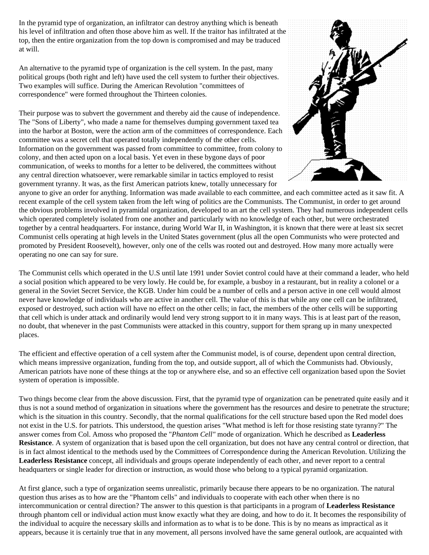In the pyramid type of organization, an infiltrator can destroy anything which is beneath his level of infiltration and often those above him as well. If the traitor has infiltrated at the top, then the entire organization from the top down is compromised and may be traduced at will.

An alternative to the pyramid type of organization is the cell system. In the past, many political groups (both right and left) have used the cell system to further their objectives. Two examples will suffice. During the American Revolution "committees of correspondence" were formed throughout the Thirteen colonies.

Their purpose was to subvert the government and thereby aid the cause of independence. The "Sons of Liberty", who made a name for themselves dumping government taxed tea into the harbor at Boston, were the action arm of the committees of correspondence. Each committee was a secret cell that operated totally independently of the other cells. Information on the government was passed from committee to committee, from colony to colony, and then acted upon on a local basis. Yet even in these bygone days of poor communication, of weeks to months for a letter to be delivered, the committees without any central direction whatsoever, were remarkable similar in tactics employed to resist government tyranny. It was, as the first American patriots knew, totally unnecessary for



anyone to give an order for anything. Information was made available to each committee, and each committee acted as it saw fit. A recent example of the cell system taken from the left wing of politics are the Communists. The Communist, in order to get around the obvious problems involved in pyramidal organization, developed to an art the cell system. They had numerous independent cells which operated completely isolated from one another and particularly with no knowledge of each other, but were orchestrated together by a central headquarters. For instance, during World War II, in Washington, it is known that there were at least six secret Communist cells operating at high levels in the United States government (plus all the open Communists who were protected and promoted by President Roosevelt), however, only one of the cells was rooted out and destroyed. How many more actually were operating no one can say for sure.

The Communist cells which operated in the U.S until late 1991 under Soviet control could have at their command a leader, who held a social position which appeared to be very lowly. He could be, for example, a busboy in a restaurant, but in reality a colonel or a general in the Soviet Secret Service, the KGB. Under him could be a number of cells and a person active in one cell would almost never have knowledge of individuals who are active in another cell. The value of this is that while any one cell can be infiltrated, exposed or destroyed, such action will have no effect on the other cells; in fact, the members of the other cells will be supporting that cell which is under attack and ordinarily would lend very strong support to it in many ways. This is at least part of the reason, no doubt, that whenever in the past Communists were attacked in this country, support for them sprang up in many unexpected places.

The efficient and effective operation of a cell system after the Communist model, is of course, dependent upon central direction, which means impressive organization, funding from the top, and outside support, all of which the Communists had. Obviously, American patriots have none of these things at the top or anywhere else, and so an effective cell organization based upon the Soviet system of operation is impossible.

Two things become clear from the above discussion. First, that the pyramid type of organization can be penetrated quite easily and it thus is not a sound method of organization in situations where the government has the resources and desire to penetrate the structure; which is the situation in this country. Secondly, that the normal qualifications for the cell structure based upon the Red model does not exist in the U.S. for patriots. This understood, the question arises "What method is left for those resisting state tyranny?" The answer comes from Col. Amoss who proposed the "*Phantom Cell"* mode of organization. Which he described as **Leaderless Resistance**. A system of organization that is based upon the cell organization, but does not have any central control or direction, that is in fact almost identical to the methods used by the Committees of Correspondence during the American Revolution. Utilizing the **Leaderless Resistance** concept, all individuals and groups operate independently of each other, and never report to a central headquarters or single leader for direction or instruction, as would those who belong to a typical pyramid organization.

At first glance, such a type of organization seems unrealistic, primarily because there appears to be no organization. The natural question thus arises as to how are the "Phantom cells" and individuals to cooperate with each other when there is no intercommunication or central direction? The answer to this question is that participants in a program of **Leaderless Resistance** through phantom cell or individual action must know exactly what they are doing, and how to do it. It becomes the responsibility of the individual to acquire the necessary skills and information as to what is to be done. This is by no means as impractical as it appears, because it is certainly true that in any movement, all persons involved have the same general outlook, are acquainted with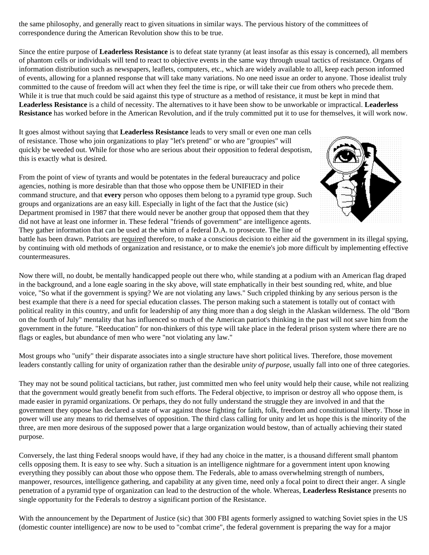the same philosophy, and generally react to given situations in similar ways. The pervious history of the committees of correspondence during the American Revolution show this to be true.

Since the entire purpose of **Leaderless Resistance** is to defeat state tyranny (at least insofar as this essay is concerned), all members of phantom cells or individuals will tend to react to objective events in the same way through usual tactics of resistance. Organs of information distribution such as newspapers, leaflets, computers, etc., which are widely available to all, keep each person informed of events, allowing for a planned response that will take many variations. No one need issue an order to anyone. Those idealist truly committed to the cause of freedom will act when they feel the time is ripe, or will take their cue from others who precede them. While it is true that much could be said against this type of structure as a method of resistance, it must be kept in mind that **Leaderless Resistance** is a child of necessity. The alternatives to it have been show to be unworkable or impractical. **Leaderless Resistance** has worked before in the American Revolution, and if the truly committed put it to use for themselves, it will work now.

It goes almost without saying that **Leaderless Resistance** leads to very small or even one man cells of resistance. Those who join organizations to play "let's pretend" or who are "groupies" will quickly be weeded out. While for those who are serious about their opposition to federal despotism, this is exactly what is desired.

From the point of view of tyrants and would be potentates in the federal bureaucracy and police agencies, nothing is more desirable than that those who oppose them be UNIFIED in their command structure, and that **every** person who opposes them belong to a pyramid type group. Such groups and organizations are an easy kill. Especially in light of the fact that the Justice (sic) Department promised in 1987 that there would never be another group that opposed them that they did not have at least one informer in. These federal "friends of government" are intelligence agents. They gather information that can be used at the whim of a federal D.A. to prosecute. The line of



battle has been drawn. Patriots are required therefore, to make a conscious decision to either aid the government in its illegal spying, by continuing with old methods of organization and resistance, or to make the enemie's job more difficult by implementing effective countermeasures.

Now there will, no doubt, be mentally handicapped people out there who, while standing at a podium with an American flag draped in the background, and a lone eagle soaring in the sky above, will state emphatically in their best sounding red, white, and blue voice, "So what if the government is spying? We are not violating any laws." Such crippled thinking by any serious person is the best example that there *is* a need for special education classes. The person making such a statement is totally out of contact with political reality in this country, and unfit for leadership of any thing more than a dog sleigh in the Alaskan wilderness. The old "Born on the fourth of July" mentality that has influenced so much of the American patriot's thinking in the past will not save him from the government in the future. "Reeducation" for non-thinkers of this type will take place in the federal prison system where there are no flags or eagles, but abundance of men who were "not violating any law."

Most groups who "unify" their disparate associates into a single structure have short political lives. Therefore, those movement leaders constantly calling for unity of organization rather than the desirable *unity of purpose*, usually fall into one of three categories.

They may not be sound political tacticians, but rather, just committed men who feel unity would help their cause, while not realizing that the government would greatly benefit from such efforts. The Federal objective, to imprison or destroy all who oppose them, is made easier in pyramid organizations. Or perhaps, they do not fully understand the struggle they are involved in and that the government they oppose has declared a state of war against those fighting for faith, folk, freedom and constitutional liberty. Those in power will use any means to rid themselves of opposition. The third class calling for unity and let us hope this is the minority of the three, are men more desirous of the supposed power that a large organization would bestow, than of actually achieving their stated purpose.

Conversely, the last thing Federal snoops would have, if they had any choice in the matter, is a thousand different small phantom cells opposing them. It is easy to see why. Such a situation is an intelligence nightmare for a government intent upon knowing everything they possibly can about those who oppose them. The Federals, able to amass overwhelming strength of numbers, manpower, resources, intelligence gathering, and capability at any given time, need only a focal point to direct their anger. A single penetration of a pyramid type of organization can lead to the destruction of the whole. Whereas, **Leaderless Resistance** presents no single opportunity for the Federals to destroy a significant portion of the Resistance.

With the announcement by the Department of Justice (sic) that 300 FBI agents formerly assigned to watching Soviet spies in the US (domestic counter intelligence) are now to be used to "combat crime", the federal government is preparing the way for a major